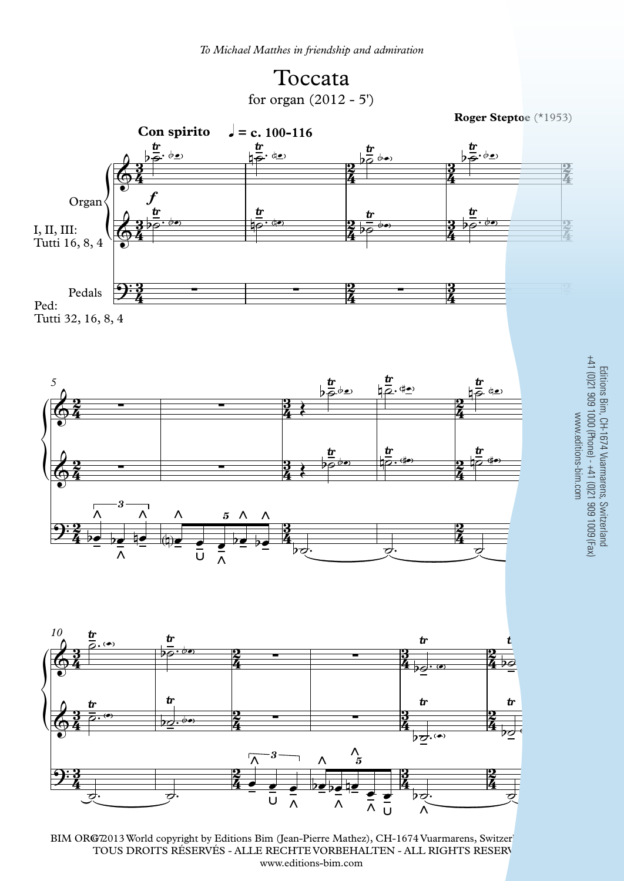





BIM ORG72013 World copyright by Editions Bim (Jean-Pierre Mathez), CH-1674 Vuarmarens, Switzer TOUS DROITS RÉSERVÉS - ALLE RECHTE VORBEHALTEN - ALL RIGHTS RESERV www.editions-bim.com

3 Bir<br>309<br>308 - $\frac{3\text{Im}}{9}$ . So Vuarr<br>9) - +<sup>2</sup><br>13- +2 armar<br>+41 (<br>-41 (  $300 L$ tland<br>100 (F<br>100 (F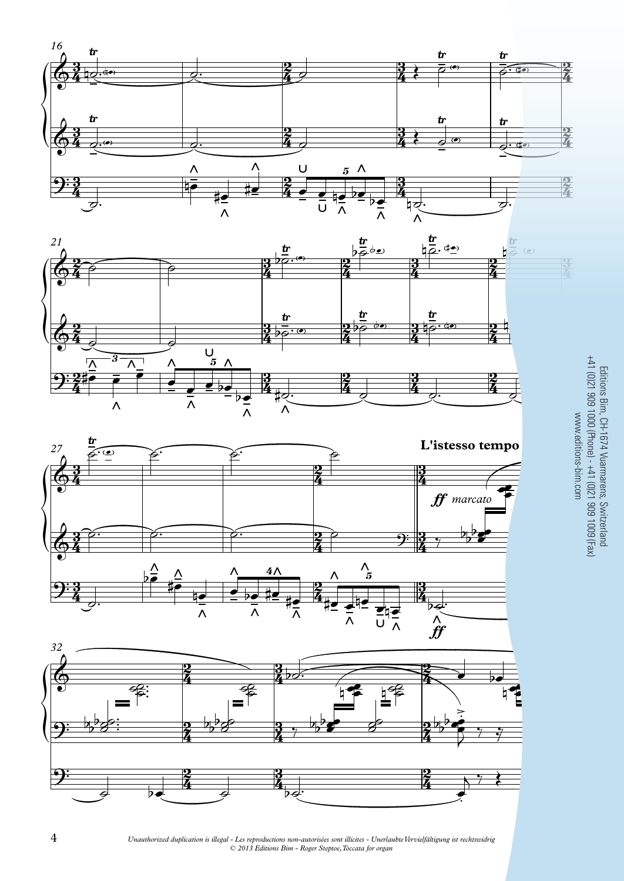







3

 $\frac{3}{4}$ 

*Unauthorized duplication is illegal - Les reproductions non-autorisées sont illicites - Unerlaubte Vervielfältigung ist rechtswidrig © 2013 Editions Bim - Roger Steptoe, Toccata for organ*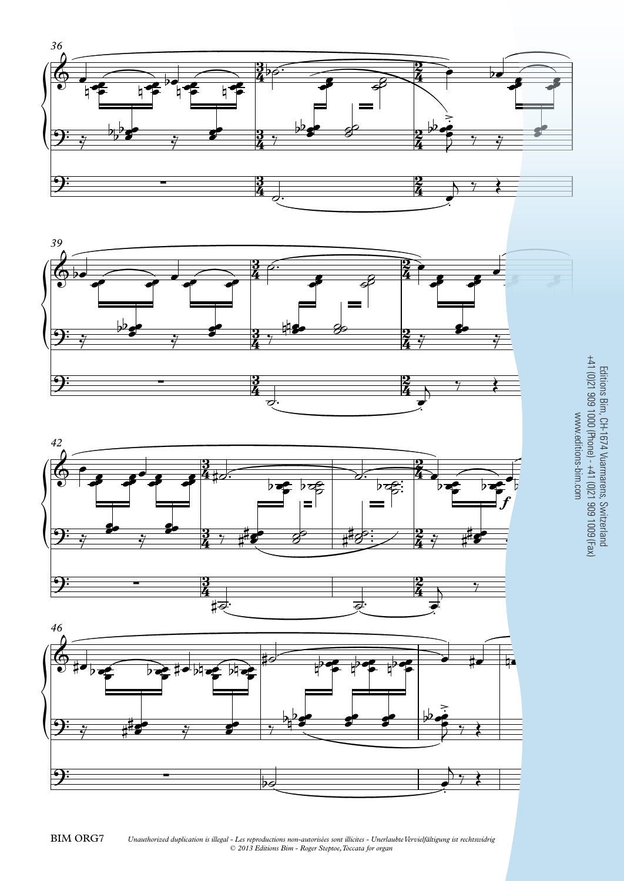







5 Editions Bim, CH-1674 Vuarmarens, Switzerland +41 (0)21 909 1000 (Phone) - +41 (0)21 909 1009 (Fax) www.editions-bim.com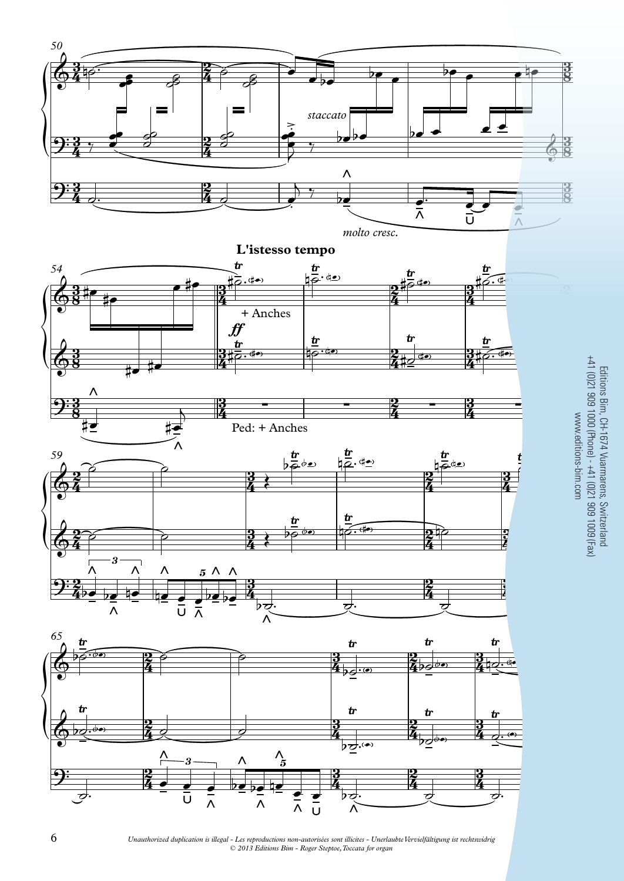

*Unauthorized duplication is illegal - Les reproductions non-autorisées sont illicites - Unerlaubte Vervielfältigung ist rechtswidrig © 2013 Editions Bim - Roger Steptoe, Toccata for organ*

 $\overline{A}$   $\overline{C}$   $\overline{C}$   $\overline{C}$ 

 $200$ <br>2009<br>2009 3im, C<br>100<br>100